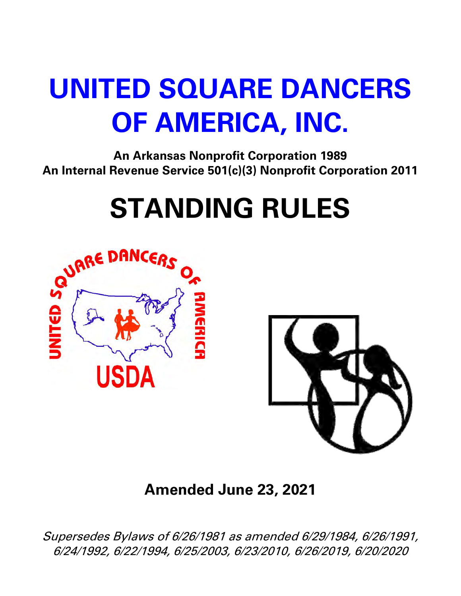## **UNITED SQUARE DANCERS OF AMERICA, INC.**

**An Arkansas Nonprofit Corporation 1989 An Internal Revenue Service 501(c)(3) Nonprofit Corporation 2011**

# **STANDING RULES**





**Amended June 23, 2021** 

Supersedes Bylaws of 6/26/1981 as amended 6/29/1984, 6/26/1991, 6/24/1992, 6/22/1994, 6/25/2003, 6/23/2010, 6/26/2019, 6/20/2020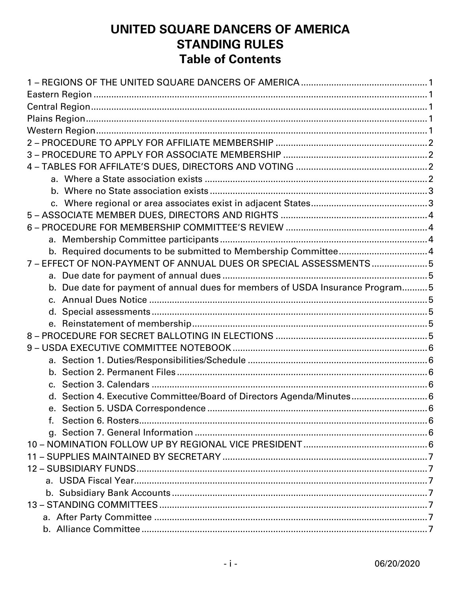## UNITED SQUARE DANCERS OF AMERICA **STANDING RULES Table of Contents**

| 7 - EFFECT OF NON-PAYMENT OF ANNUAL DUES OR SPECIAL ASSESSMENTS5              |  |
|-------------------------------------------------------------------------------|--|
|                                                                               |  |
| b. Due date for payment of annual dues for members of USDA Insurance Program5 |  |
|                                                                               |  |
|                                                                               |  |
|                                                                               |  |
|                                                                               |  |
|                                                                               |  |
|                                                                               |  |
|                                                                               |  |
|                                                                               |  |
| Section 4. Executive Committee/Board of Directors Agenda/Minutes 6            |  |
|                                                                               |  |
| f.                                                                            |  |
|                                                                               |  |
|                                                                               |  |
|                                                                               |  |
|                                                                               |  |
|                                                                               |  |
|                                                                               |  |
|                                                                               |  |
|                                                                               |  |
|                                                                               |  |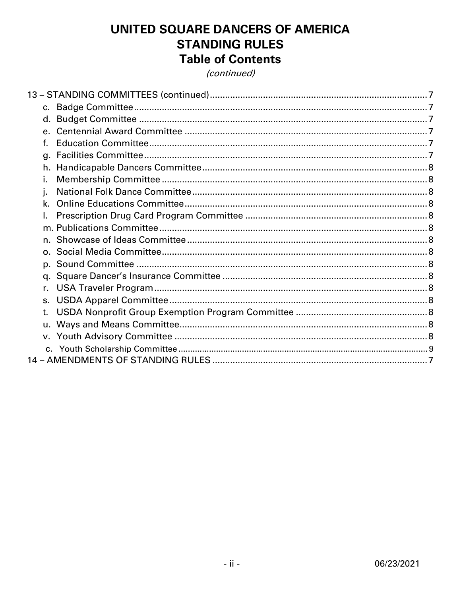## UNITED SQUARE DANCERS OF AMERICA **STANDING RULES Table of Contents**

(continued)

| f.           |  |
|--------------|--|
| q.           |  |
|              |  |
| Ī.           |  |
| i.           |  |
| k.           |  |
|              |  |
|              |  |
|              |  |
|              |  |
|              |  |
|              |  |
| $r_{\rm{r}}$ |  |
| s.           |  |
| t.           |  |
| u.           |  |
|              |  |
|              |  |
|              |  |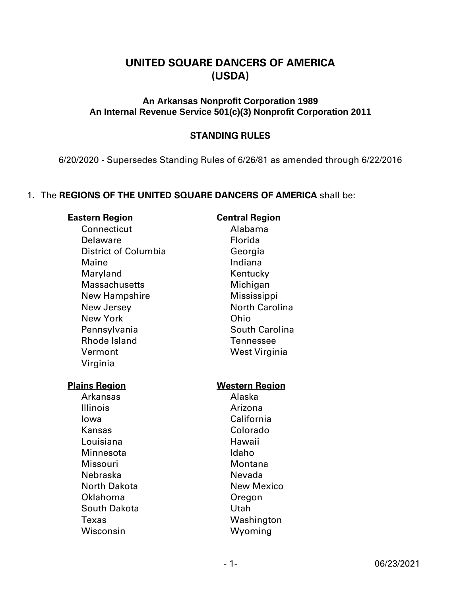## **UNITED SQUARE DANCERS OF AMERICA (USDA)**

## **An Arkansas Nonprofit Corporation 1989 An Internal Revenue Service 501(c)(3) Nonprofit Corporation 2011**

## **STANDING RULES**

6/20/2020 - Supersedes Standing Rules of 6/26/81 as amended through 6/22/2016

## 1. The **REGIONS OF THE UNITED SQUARE DANCERS OF AMERICA** shall be:

#### **Eastern Region Central Region**

Connecticut Alabama Delaware **Florida** District of Columbia Georgia Maine **Indiana** Maryland Kentucky Massachusetts Michigan New Hampshire Mississippi New Jersey **North Carolina** New York Ohio Pennsylvania South Carolina Rhode Island Tennessee Vermont West Virginia Virginia

Arkansas Alaska Illinois **Arizona** Iowa California Kansas Colorado Louisiana Hawaii Minnesota **Idaho** Missouri Montana Nebraska Nevada North Dakota New Mexico Oklahoma Oregon South Dakota **National Control** Utah Texas Washington Wisconsin Wyoming

#### **Plains Region Western Region**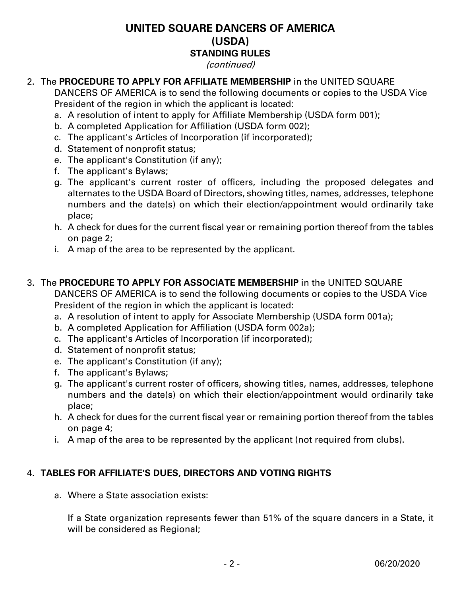(continued)

## 2. The **PROCEDURE TO APPLY FOR AFFILIATE MEMBERSHIP** in the UNITED SQUARE

DANCERS OF AMERICA is to send the following documents or copies to the USDA Vice President of the region in which the applicant is located:

- a. A resolution of intent to apply for Affiliate Membership (USDA form 001);
- b. A completed Application for Affiliation (USDA form 002);
- c. The applicant's Articles of Incorporation (if incorporated);
- d. Statement of nonprofit status;
- e. The applicant's Constitution (if any);
- f. The applicant's Bylaws;
- g. The applicant's current roster of officers, including the proposed delegates and alternates to the USDA Board of Directors, showing titles, names, addresses, telephone numbers and the date(s) on which their election/appointment would ordinarily take place;
- h. A check for dues for the current fiscal year or remaining portion thereof from the tables on page 2;
- i. A map of the area to be represented by the applicant.

## 3. The **PROCEDURE TO APPLY FOR ASSOCIATE MEMBERSHIP** in the UNITED SQUARE

DANCERS OF AMERICA is to send the following documents or copies to the USDA Vice President of the region in which the applicant is located:

- a. A resolution of intent to apply for Associate Membership (USDA form 001a);
- b. A completed Application for Affiliation (USDA form 002a);
- c. The applicant's Articles of Incorporation (if incorporated);
- d. Statement of nonprofit status;
- e. The applicant's Constitution (if any);
- f. The applicant's Bylaws;
- g. The applicant's current roster of officers, showing titles, names, addresses, telephone numbers and the date(s) on which their election/appointment would ordinarily take place;
- h. A check for dues for the current fiscal year or remaining portion thereof from the tables on page 4;
- i. A map of the area to be represented by the applicant (not required from clubs).

## 4. **TABLES FOR AFFILIATE'S DUES, DIRECTORS AND VOTING RIGHTS**

a. Where a State association exists:

If a State organization represents fewer than 51% of the square dancers in a State, it will be considered as Regional;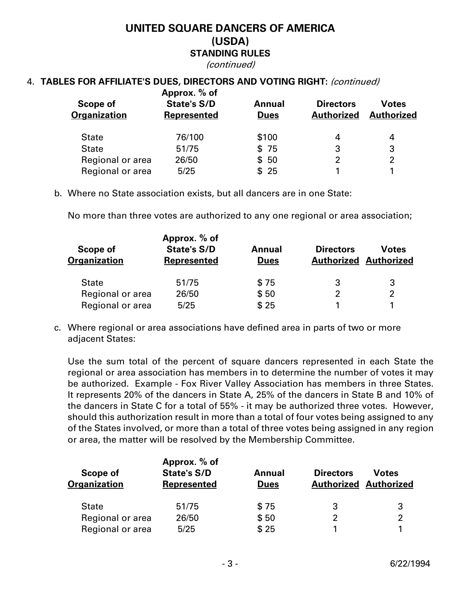(continued)

## 4. **TABLES FOR AFFILIATE'S DUES, DIRECTORS AND VOTING RIGHT:** (continued)

| Scope of<br><b>Organization</b> | Approx. % of<br><b>State's S/D</b><br><b>Represented</b> | Annual<br><b>Dues</b> | <b>Directors</b><br><b>Authorized</b> | <b>Votes</b><br><b>Authorized</b> |
|---------------------------------|----------------------------------------------------------|-----------------------|---------------------------------------|-----------------------------------|
| <b>State</b>                    | 76/100                                                   | \$100                 |                                       | 4                                 |
| <b>State</b>                    | 51/75                                                    | \$75                  | 3                                     | 3                                 |
| Regional or area                | 26/50                                                    | \$50                  | 2                                     | $\overline{2}$                    |
| Regional or area                | 5/25                                                     | \$25                  |                                       |                                   |

b. Where no State association exists, but all dancers are in one State:

No more than three votes are authorized to any one regional or area association;

|                          | Approx. % of                      |                       |                  |                                       |
|--------------------------|-----------------------------------|-----------------------|------------------|---------------------------------------|
| Scope of<br>Organization | <b>State's S/D</b><br>Represented | Annual<br><b>Dues</b> | <b>Directors</b> | Votes<br><b>Authorized Authorized</b> |
| <b>State</b>             | 51/75                             | \$75                  | 3                | 3                                     |
| Regional or area         | 26/50                             | \$50                  |                  | 2                                     |
| Regional or area         | 5/25                              | \$25                  |                  |                                       |

c. Where regional or area associations have defined area in parts of two or more adjacent States:

Use the sum total of the percent of square dancers represented in each State the regional or area association has members in to determine the number of votes it may be authorized. Example - Fox River Valley Association has members in three States. It represents 20% of the dancers in State A, 25% of the dancers in State B and 10% of the dancers in State C for a total of 55% - it may be authorized three votes. However, should this authorization result in more than a total of four votes being assigned to any of the States involved, or more than a total of three votes being assigned in any region or area, the matter will be resolved by the Membership Committee.

| Scope of<br><b>Organization</b> | Approx. % of<br><b>State's S/D</b><br><b>Represented</b> | Annual<br><b>Dues</b> | <b>Directors</b><br><b>Authorized Authorized</b> | <b>Votes</b>   |
|---------------------------------|----------------------------------------------------------|-----------------------|--------------------------------------------------|----------------|
| <b>State</b>                    | 51/75                                                    | \$75                  | 3                                                | 3              |
| Regional or area                | 26/50                                                    | \$50                  |                                                  | $\overline{2}$ |
| Regional or area                | 5/25                                                     | \$25                  |                                                  |                |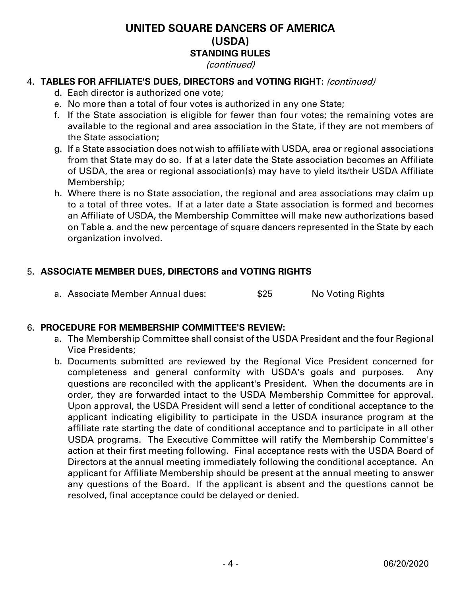#### (continued)

## 4. **TABLES FOR AFFILIATE'S DUES, DIRECTORS and VOTING RIGHT:** (continued)

- d. Each director is authorized one vote;
- e. No more than a total of four votes is authorized in any one State;
- f. If the State association is eligible for fewer than four votes; the remaining votes are available to the regional and area association in the State, if they are not members of the State association;
- g. If a State association does not wish to affiliate with USDA, area or regional associations from that State may do so. If at a later date the State association becomes an Affiliate of USDA, the area or regional association(s) may have to yield its/their USDA Affiliate Membership;
- h. Where there is no State association, the regional and area associations may claim up to a total of three votes. If at a later date a State association is formed and becomes an Affiliate of USDA, the Membership Committee will make new authorizations based on Table a. and the new percentage of square dancers represented in the State by each organization involved.

## 5. **ASSOCIATE MEMBER DUES, DIRECTORS and VOTING RIGHTS**

a. Associate Member Annual dues:  $$25$  No Voting Rights

## 6. **PROCEDURE FOR MEMBERSHIP COMMITTEE'S REVIEW:**

- a. The Membership Committee shall consist of the USDA President and the four Regional Vice Presidents;
- b. Documents submitted are reviewed by the Regional Vice President concerned for completeness and general conformity with USDA's goals and purposes. Any questions are reconciled with the applicant's President. When the documents are in order, they are forwarded intact to the USDA Membership Committee for approval. Upon approval, the USDA President will send a letter of conditional acceptance to the applicant indicating eligibility to participate in the USDA insurance program at the affiliate rate starting the date of conditional acceptance and to participate in all other USDA programs. The Executive Committee will ratify the Membership Committee's action at their first meeting following. Final acceptance rests with the USDA Board of Directors at the annual meeting immediately following the conditional acceptance. An applicant for Affiliate Membership should be present at the annual meeting to answer any questions of the Board. If the applicant is absent and the questions cannot be resolved, final acceptance could be delayed or denied.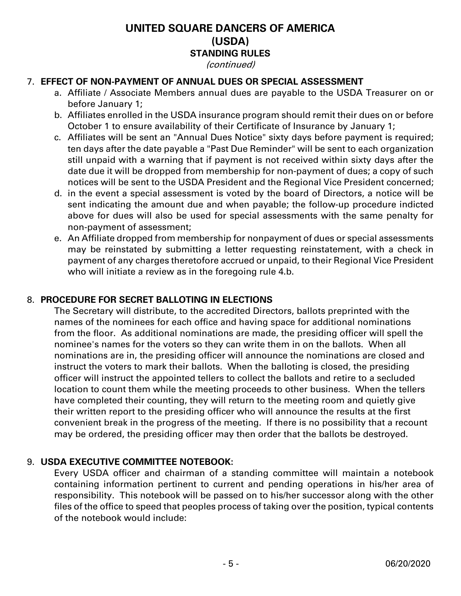#### (continued)

## 7. **EFFECT OF NON-PAYMENT OF ANNUAL DUES OR SPECIAL ASSESSMENT**

- a. Affiliate / Associate Members annual dues are payable to the USDA Treasurer on or before January 1;
- b. Affiliates enrolled in the USDA insurance program should remit their dues on or before October 1 to ensure availability of their Certificate of Insurance by January 1;
- c. Affiliates will be sent an "Annual Dues Notice" sixty days before payment is required; ten days after the date payable a "Past Due Reminder" will be sent to each organization still unpaid with a warning that if payment is not received within sixty days after the date due it will be dropped from membership for non-payment of dues; a copy of such notices will be sent to the USDA President and the Regional Vice President concerned;
- d. in the event a special assessment is voted by the board of Directors, a notice will be sent indicating the amount due and when payable; the follow-up procedure indicted above for dues will also be used for special assessments with the same penalty for non-payment of assessment;
- e. An Affiliate dropped from membership for nonpayment of dues or special assessments may be reinstated by submitting a letter requesting reinstatement, with a check in payment of any charges theretofore accrued or unpaid, to their Regional Vice President who will initiate a review as in the foregoing rule 4.b.

## 8. **PROCEDURE FOR SECRET BALLOTING IN ELECTIONS**

 The Secretary will distribute, to the accredited Directors, ballots preprinted with the names of the nominees for each office and having space for additional nominations from the floor. As additional nominations are made, the presiding officer will spell the nominee's names for the voters so they can write them in on the ballots. When all nominations are in, the presiding officer will announce the nominations are closed and instruct the voters to mark their ballots. When the balloting is closed, the presiding officer will instruct the appointed tellers to collect the ballots and retire to a secluded location to count them while the meeting proceeds to other business. When the tellers have completed their counting, they will return to the meeting room and quietly give their written report to the presiding officer who will announce the results at the first convenient break in the progress of the meeting. If there is no possibility that a recount may be ordered, the presiding officer may then order that the ballots be destroyed.

## 9. **USDA EXECUTIVE COMMITTEE NOTEBOOK:**

Every USDA officer and chairman of a standing committee will maintain a notebook containing information pertinent to current and pending operations in his/her area of responsibility. This notebook will be passed on to his/her successor along with the other files of the office to speed that peoples process of taking over the position, typical contents of the notebook would include: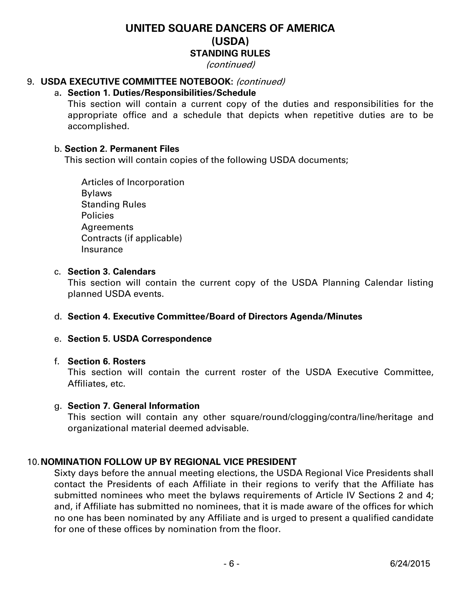(continued)

## 9. **USDA EXECUTIVE COMMITTEE NOTEBOOK:** (continued)

## a**. Section 1. Duties/Responsibilities/Schedule**

This section will contain a current copy of the duties and responsibilities for the appropriate office and a schedule that depicts when repetitive duties are to be accomplished.

### b. **Section 2. Permanent Files**

This section will contain copies of the following USDA documents;

Articles of Incorporation Bylaws Standing Rules Policies Agreements Contracts (if applicable) Insurance

#### c. **Section 3. Calendars**

This section will contain the current copy of the USDA Planning Calendar listing planned USDA events.

## d. **Section 4. Executive Committee/Board of Directors Agenda/Minutes**

#### e. **Section 5. USDA Correspondence**

#### f. **Section 6. Rosters**

This section will contain the current roster of the USDA Executive Committee, Affiliates, etc.

## g. **Section 7. General Information**

This section will contain any other square/round/clogging/contra/line/heritage and organizational material deemed advisable.

## 10.**NOMINATION FOLLOW UP BY REGIONAL VICE PRESIDENT**

Sixty days before the annual meeting elections, the USDA Regional Vice Presidents shall contact the Presidents of each Affiliate in their regions to verify that the Affiliate has submitted nominees who meet the bylaws requirements of Article IV Sections 2 and 4; and, if Affiliate has submitted no nominees, that it is made aware of the offices for which no one has been nominated by any Affiliate and is urged to present a qualified candidate for one of these offices by nomination from the floor.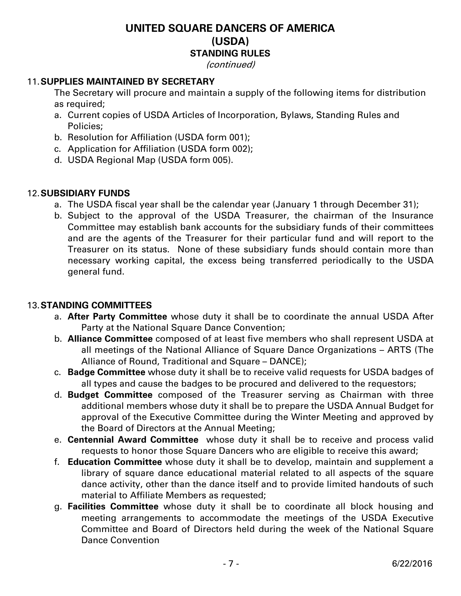#### (continued)

## 11.**SUPPLIES MAINTAINED BY SECRETARY**

The Secretary will procure and maintain a supply of the following items for distribution as required;

- a. Current copies of USDA Articles of Incorporation, Bylaws, Standing Rules and Policies;
- b. Resolution for Affiliation (USDA form 001);
- c. Application for Affiliation (USDA form 002);
- d. USDA Regional Map (USDA form 005).

## 12.**SUBSIDIARY FUNDS**

- a. The USDA fiscal year shall be the calendar year (January 1 through December 31);
- b. Subject to the approval of the USDA Treasurer, the chairman of the Insurance Committee may establish bank accounts for the subsidiary funds of their committees and are the agents of the Treasurer for their particular fund and will report to the Treasurer on its status. None of these subsidiary funds should contain more than necessary working capital, the excess being transferred periodically to the USDA general fund.

## 13.**STANDING COMMITTEES**

- a. **After Party Committee** whose duty it shall be to coordinate the annual USDA After Party at the National Square Dance Convention;
- b. **Alliance Committee** composed of at least five members who shall represent USDA at all meetings of the National Alliance of Square Dance Organizations – ARTS (The Alliance of Round, Traditional and Square – DANCE);
- c. **Badge Committee** whose duty it shall be to receive valid requests for USDA badges of all types and cause the badges to be procured and delivered to the requestors;
- d. **Budget Committee** composed of the Treasurer serving as Chairman with three additional members whose duty it shall be to prepare the USDA Annual Budget for approval of the Executive Committee during the Winter Meeting and approved by the Board of Directors at the Annual Meeting;
- e. **Centennial Award Committee** whose duty it shall be to receive and process valid requests to honor those Square Dancers who are eligible to receive this award;
- f. **Education Committee** whose duty it shall be to develop, maintain and supplement a library of square dance educational material related to all aspects of the square dance activity, other than the dance itself and to provide limited handouts of such material to Affiliate Members as requested;
- g. **Facilities Committee** whose duty it shall be to coordinate all block housing and meeting arrangements to accommodate the meetings of the USDA Executive Committee and Board of Directors held during the week of the National Square Dance Convention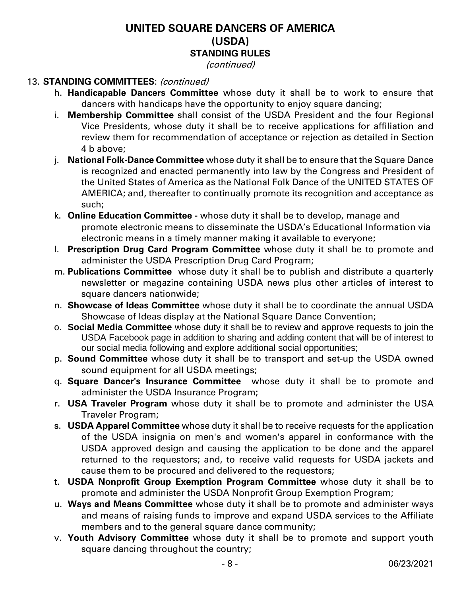### (continued)

## 13. **STANDING COMMITTEES**: (continued)

- h. **Handicapable Dancers Committee** whose duty it shall be to work to ensure that dancers with handicaps have the opportunity to enjoy square dancing;
- i. **Membership Committee** shall consist of the USDA President and the four Regional Vice Presidents, whose duty it shall be to receive applications for affiliation and review them for recommendation of acceptance or rejection as detailed in Section 4 b above;
- j. **National Folk-Dance Committee** whose duty it shall be to ensure that the Square Dance is recognized and enacted permanently into law by the Congress and President of the United States of America as the National Folk Dance of the UNITED STATES OF AMERICA; and, thereafter to continually promote its recognition and acceptance as such;
- k. **Online Education Committee** whose duty it shall be to develop, manage and promote electronic means to disseminate the USDA's Educational Information via electronic means in a timely manner making it available to everyone;
- l. **Prescription Drug Card Program Committee** whose duty it shall be to promote and administer the USDA Prescription Drug Card Program;
- m. **Publications Committee** whose duty it shall be to publish and distribute a quarterly newsletter or magazine containing USDA news plus other articles of interest to square dancers nationwide;
- n. **Showcase of Ideas Committee** whose duty it shall be to coordinate the annual USDA Showcase of Ideas display at the National Square Dance Convention;
- o. **Social Media Committee** whose duty it shall be to review and approve requests to join the USDA Facebook page in addition to sharing and adding content that will be of interest to our social media following and explore additional social opportunities;
- p. **Sound Committee** whose duty it shall be to transport and set-up the USDA owned sound equipment for all USDA meetings;
- q. **Square Dancer's Insurance Committee** whose duty it shall be to promote and administer the USDA Insurance Program;
- r. **USA Traveler Program** whose duty it shall be to promote and administer the USA Traveler Program;
- s. **USDA Apparel Committee** whose duty it shall be to receive requests for the application of the USDA insignia on men's and women's apparel in conformance with the USDA approved design and causing the application to be done and the apparel returned to the requestors; and, to receive valid requests for USDA jackets and cause them to be procured and delivered to the requestors;
- t. **USDA Nonprofit Group Exemption Program Committee** whose duty it shall be to promote and administer the USDA Nonprofit Group Exemption Program;
- u. **Ways and Means Committee** whose duty it shall be to promote and administer ways and means of raising funds to improve and expand USDA services to the Affiliate members and to the general square dance community;
- v. **Youth Advisory Committee** whose duty it shall be to promote and support youth square dancing throughout the country;